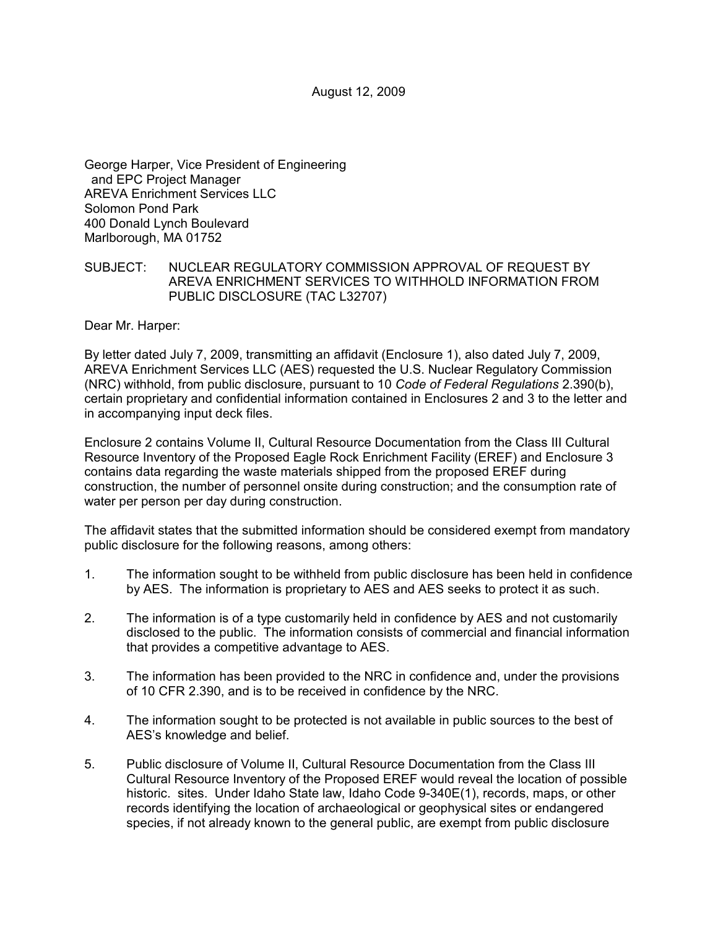August 12, 2009

George Harper, Vice President of Engineering and EPC Project Manager AREVA Enrichment Services LLC Solomon Pond Park 400 Donald Lynch Boulevard Marlborough, MA 01752

# SUBJECT: NUCLEAR REGULATORY COMMISSION APPROVAL OF REQUEST BY AREVA ENRICHMENT SERVICES TO WITHHOLD INFORMATION FROM PUBLIC DISCLOSURE (TAC L32707)

Dear Mr. Harper:

By letter dated July 7, 2009, transmitting an affidavit (Enclosure 1), also dated July 7, 2009, AREVA Enrichment Services LLC (AES) requested the U.S. Nuclear Regulatory Commission (NRC) withhold, from public disclosure, pursuant to 10 *Code of Federal Regulations* 2.390(b), certain proprietary and confidential information contained in Enclosures 2 and 3 to the letter and in accompanying input deck files.

Enclosure 2 contains Volume II, Cultural Resource Documentation from the Class III Cultural Resource Inventory of the Proposed Eagle Rock Enrichment Facility (EREF) and Enclosure 3 contains data regarding the waste materials shipped from the proposed EREF during construction, the number of personnel onsite during construction; and the consumption rate of water per person per day during construction.

The affidavit states that the submitted information should be considered exempt from mandatory public disclosure for the following reasons, among others:

- 1. The information sought to be withheld from public disclosure has been held in confidence by AES. The information is proprietary to AES and AES seeks to protect it as such.
- 2. The information is of a type customarily held in confidence by AES and not customarily disclosed to the public. The information consists of commercial and financial information that provides a competitive advantage to AES.
- 3. The information has been provided to the NRC in confidence and, under the provisions of 10 CFR 2.390, and is to be received in confidence by the NRC.
- 4. The information sought to be protected is not available in public sources to the best of AES's knowledge and belief.
- 5. Public disclosure of Volume II, Cultural Resource Documentation from the Class III Cultural Resource Inventory of the Proposed EREF would reveal the location of possible historic. sites. Under Idaho State law, Idaho Code 9-340E(1), records, maps, or other records identifying the location of archaeological or geophysical sites or endangered species, if not already known to the general public, are exempt from public disclosure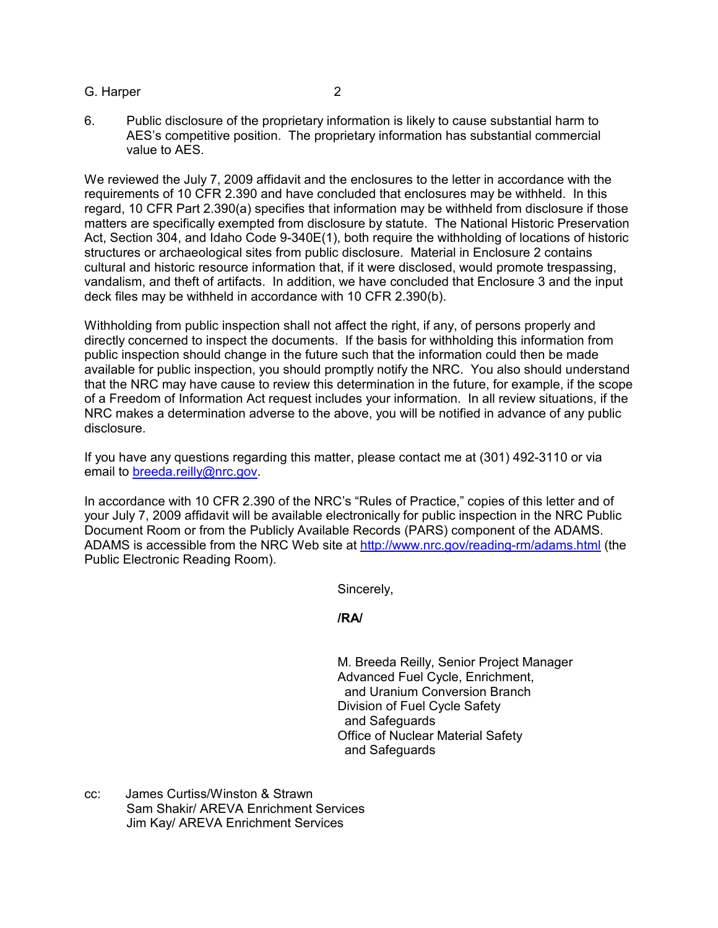G. Harper 2

6. Public disclosure of the proprietary information is likely to cause substantial harm to AES's competitive position. The proprietary information has substantial commercial value to AES.

We reviewed the July 7, 2009 affidavit and the enclosures to the letter in accordance with the requirements of 10 CFR 2.390 and have concluded that enclosures may be withheld. In this regard, 10 CFR Part 2.390(a) specifies that information may be withheld from disclosure if those matters are specifically exempted from disclosure by statute. The National Historic Preservation Act, Section 304, and Idaho Code 9-340E(1), both require the withholding of locations of historic structures or archaeological sites from public disclosure. Material in Enclosure 2 contains cultural and historic resource information that, if it were disclosed, would promote trespassing, vandalism, and theft of artifacts. In addition, we have concluded that Enclosure 3 and the input deck files may be withheld in accordance with 10 CFR 2.390(b).

Withholding from public inspection shall not affect the right, if any, of persons properly and directly concerned to inspect the documents. If the basis for withholding this information from public inspection should change in the future such that the information could then be made available for public inspection, you should promptly notify the NRC. You also should understand that the NRC may have cause to review this determination in the future, for example, if the scope of a Freedom of Information Act request includes your information. In all review situations, if the NRC makes a determination adverse to the above, you will be notified in advance of any public disclosure.

If you have any questions regarding this matter, please contact me at (301) 492-3110 or via email to breeda.reilly@nrc.gov.

In accordance with 10 CFR 2.390 of the NRC's "Rules of Practice," copies of this letter and of your July 7, 2009 affidavit will be available electronically for public inspection in the NRC Public Document Room or from the Publicly Available Records (PARS) component of the ADAMS. ADAMS is accessible from the NRC Web site at http://www.nrc.gov/reading-rm/adams.html (the Public Electronic Reading Room).

Sincerely,

**/RA/** 

M. Breeda Reilly, Senior Project Manager Advanced Fuel Cycle, Enrichment, and Uranium Conversion Branch Division of Fuel Cycle Safety and Safeguards Office of Nuclear Material Safety and Safeguards

cc: James Curtiss/Winston & Strawn Sam Shakir/ AREVA Enrichment Services Jim Kay/ AREVA Enrichment Services